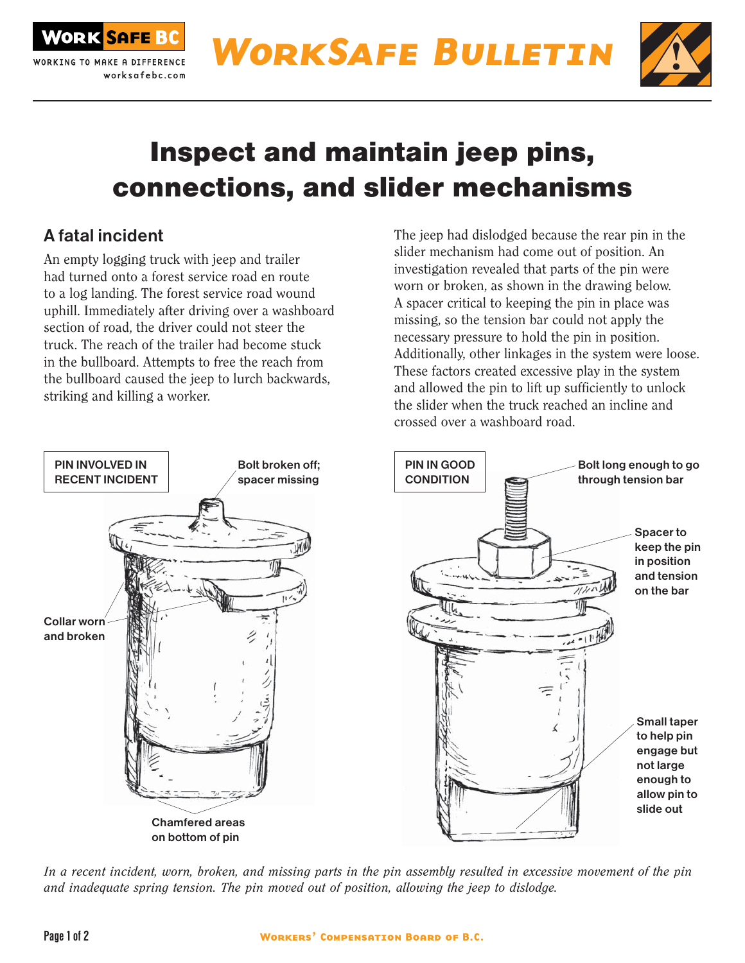



# Inspect and maintain jeep pins, connections, and slider mechanisms

## A fatal incident

An empty logging truck with jeep and trailer had turned onto a forest service road en route to a log landing. The forest service road wound uphill. Immediately after driving over a washboard section of road, the driver could not steer the truck. The reach of the trailer had become stuck in the bullboard. Attempts to free the reach from the bullboard caused the jeep to lurch backwards, striking and killing a worker.

The jeep had dislodged because the rear pin in the slider mechanism had come out of position. An investigation revealed that parts of the pin were worn or broken, as shown in the drawing below. A spacer critical to keeping the pin in place was missing, so the tension bar could not apply the necessary pressure to hold the pin in position. Additionally, other linkages in the system were loose. These factors created excessive play in the system and allowed the pin to lift up sufficiently to unlock the slider when the truck reached an incline and crossed over a washboard road.



*In a recent incident, worn, broken, and missing parts in the pin assembly resulted in excessive movement of the pin and inadequate spring tension. The pin moved out of position, allowing the jeep to dislodge.*